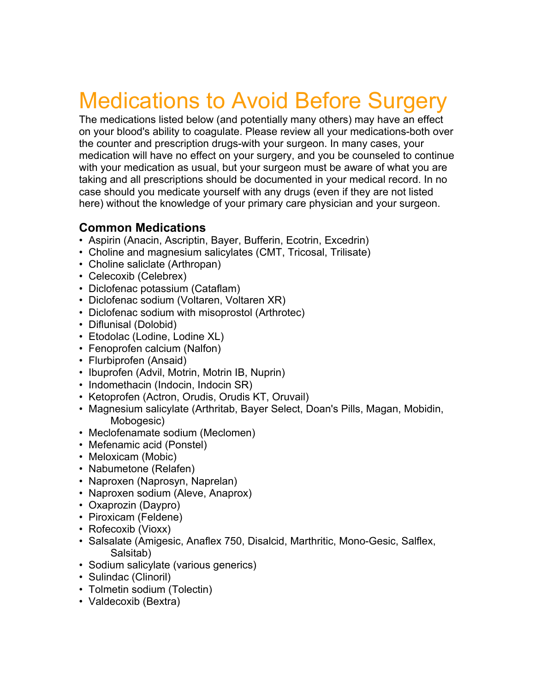## Medications to Avoid Before Surgery

The medications listed below (and potentially many others) may have an effect on your blood's ability to coagulate. Please review all your medications-both over the counter and prescription drugs-with your surgeon. In many cases, your medication will have no effect on your surgery, and you be counseled to continue with your medication as usual, but your surgeon must be aware of what you are taking and all prescriptions should be documented in your medical record. In no case should you medicate yourself with any drugs (even if they are not listed here) without the knowledge of your primary care physician and your surgeon.

## **Common Medications**

- Aspirin (Anacin, Ascriptin, Bayer, Bufferin, Ecotrin, Excedrin)
- Choline and magnesium salicylates (CMT, Tricosal, Trilisate)
- Choline saliclate (Arthropan)
- Celecoxib (Celebrex)
- Diclofenac potassium (Cataflam)
- Diclofenac sodium (Voltaren, Voltaren XR)
- Diclofenac sodium with misoprostol (Arthrotec)
- Diflunisal (Dolobid)
- Etodolac (Lodine, Lodine XL)
- Fenoprofen calcium (Nalfon)
- Flurbiprofen (Ansaid)
- Ibuprofen (Advil, Motrin, Motrin IB, Nuprin)
- Indomethacin (Indocin, Indocin SR)
- Ketoprofen (Actron, Orudis, Orudis KT, Oruvail)
- Magnesium salicylate (Arthritab, Bayer Select, Doan's Pills, Magan, Mobidin, Mobogesic)
- Meclofenamate sodium (Meclomen)
- Mefenamic acid (Ponstel)
- Meloxicam (Mobic)
- Nabumetone (Relafen)
- Naproxen (Naprosyn, Naprelan)
- Naproxen sodium (Aleve, Anaprox)
- Oxaprozin (Daypro)
- Piroxicam (Feldene)
- Rofecoxib (Vioxx)
- Salsalate (Amigesic, Anaflex 750, Disalcid, Marthritic, Mono-Gesic, Salflex, Salsitab)
- Sodium salicylate (various generics)
- Sulindac (Clinoril)
- Tolmetin sodium (Tolectin)
- Valdecoxib (Bextra)